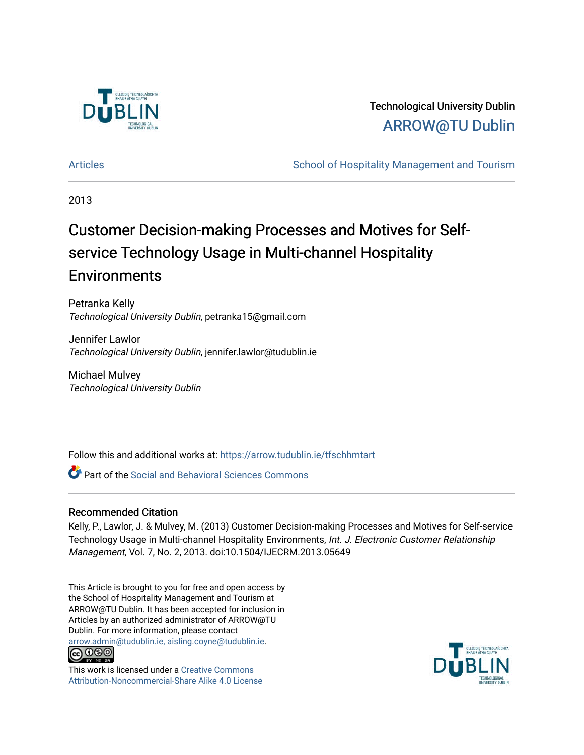

# Technological University Dublin [ARROW@TU Dublin](https://arrow.tudublin.ie/)

[Articles](https://arrow.tudublin.ie/tfschhmtart) **School of Hospitality Management and Tourism** School of Hospitality Management and Tourism

2013

# Customer Decision-making Processes and Motives for Selfservice Technology Usage in Multi-channel Hospitality **Environments**

Petranka Kelly Technological University Dublin, petranka15@gmail.com

Jennifer Lawlor Technological University Dublin, jennifer.lawlor@tudublin.ie

Michael Mulvey Technological University Dublin

Follow this and additional works at: [https://arrow.tudublin.ie/tfschhmtart](https://arrow.tudublin.ie/tfschhmtart?utm_source=arrow.tudublin.ie%2Ftfschhmtart%2F64&utm_medium=PDF&utm_campaign=PDFCoverPages) 

**P** Part of the Social and Behavioral Sciences Commons

### Recommended Citation

Kelly, P., Lawlor, J. & Mulvey, M. (2013) Customer Decision-making Processes and Motives for Self-service Technology Usage in Multi-channel Hospitality Environments, Int. J. Electronic Customer Relationship Management, Vol. 7, No. 2, 2013. doi:10.1504/IJECRM.2013.05649

This Article is brought to you for free and open access by the School of Hospitality Management and Tourism at ARROW@TU Dublin. It has been accepted for inclusion in Articles by an authorized administrator of ARROW@TU Dublin. For more information, please contact [arrow.admin@tudublin.ie, aisling.coyne@tudublin.ie](mailto:arrow.admin@tudublin.ie,%20aisling.coyne@tudublin.ie).



This work is licensed under a [Creative Commons](http://creativecommons.org/licenses/by-nc-sa/4.0/) [Attribution-Noncommercial-Share Alike 4.0 License](http://creativecommons.org/licenses/by-nc-sa/4.0/)

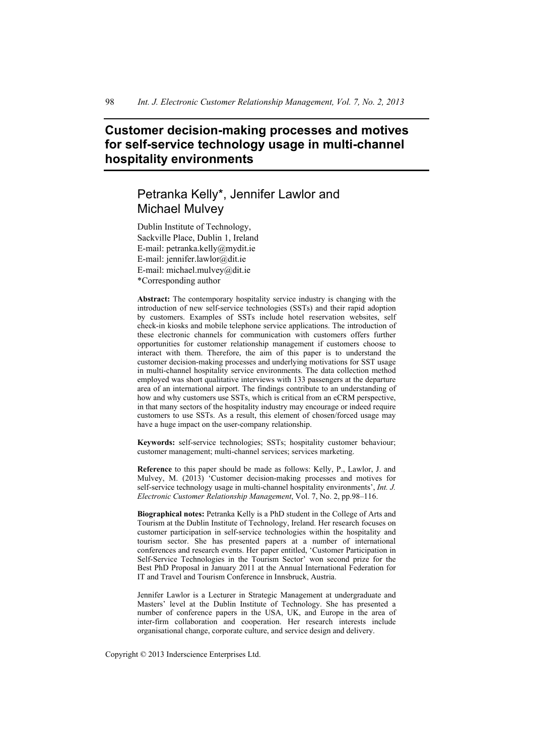# **Customer decision-making processes and motives for self-service technology usage in multi-channel hospitality environments**

# Petranka Kelly\*, Jennifer Lawlor and Michael Mulvey

Dublin Institute of Technology, Sackville Place, Dublin 1, Ireland E-mail: petranka.kelly@mydit.ie E-mail: jennifer.lawlor@dit.ie E-mail: michael.mulvey@dit.ie \*Corresponding author

**Abstract:** The contemporary hospitality service industry is changing with the introduction of new self-service technologies (SSTs) and their rapid adoption by customers. Examples of SSTs include hotel reservation websites, self check-in kiosks and mobile telephone service applications. The introduction of these electronic channels for communication with customers offers further opportunities for customer relationship management if customers choose to interact with them. Therefore, the aim of this paper is to understand the customer decision-making processes and underlying motivations for SST usage in multi-channel hospitality service environments. The data collection method employed was short qualitative interviews with 133 passengers at the departure area of an international airport. The findings contribute to an understanding of how and why customers use SSTs, which is critical from an eCRM perspective, in that many sectors of the hospitality industry may encourage or indeed require customers to use SSTs. As a result, this element of chosen/forced usage may have a huge impact on the user-company relationship.

**Keywords:** self-service technologies; SSTs; hospitality customer behaviour; customer management; multi-channel services; services marketing.

**Reference** to this paper should be made as follows: Kelly, P., Lawlor, J. and Mulvey, M. (2013) 'Customer decision-making processes and motives for self-service technology usage in multi-channel hospitality environments', *Int. J. Electronic Customer Relationship Management*, Vol. 7, No. 2, pp.98–116.

**Biographical notes:** Petranka Kelly is a PhD student in the College of Arts and Tourism at the Dublin Institute of Technology, Ireland. Her research focuses on customer participation in self-service technologies within the hospitality and tourism sector. She has presented papers at a number of international conferences and research events. Her paper entitled, 'Customer Participation in Self-Service Technologies in the Tourism Sector' won second prize for the Best PhD Proposal in January 2011 at the Annual International Federation for IT and Travel and Tourism Conference in Innsbruck, Austria.

Jennifer Lawlor is a Lecturer in Strategic Management at undergraduate and Masters' level at the Dublin Institute of Technology. She has presented a number of conference papers in the USA, UK, and Europe in the area of inter-firm collaboration and cooperation. Her research interests include organisational change, corporate culture, and service design and delivery.

Copyright © 2013 Inderscience Enterprises Ltd.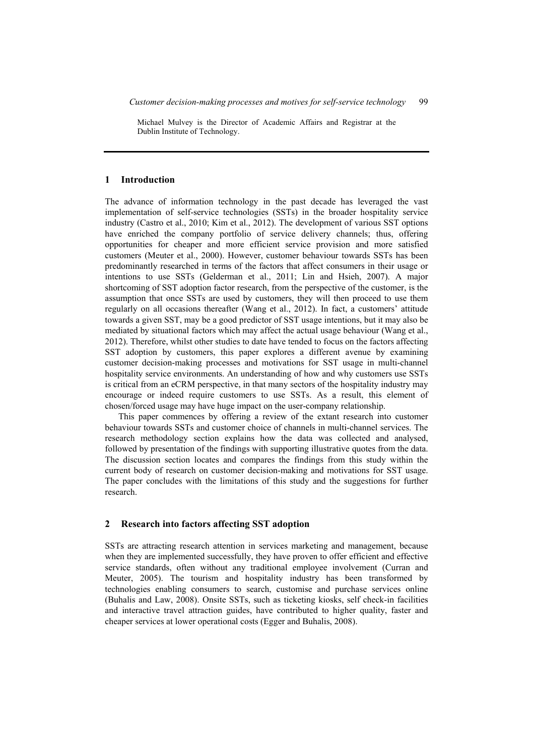Michael Mulvey is the Director of Academic Affairs and Registrar at the Dublin Institute of Technology.

#### **1 Introduction**

The advance of information technology in the past decade has leveraged the vast implementation of self-service technologies (SSTs) in the broader hospitality service industry (Castro et al., 2010; Kim et al., 2012). The development of various SST options have enriched the company portfolio of service delivery channels; thus, offering opportunities for cheaper and more efficient service provision and more satisfied customers (Meuter et al., 2000). However, customer behaviour towards SSTs has been predominantly researched in terms of the factors that affect consumers in their usage or intentions to use SSTs (Gelderman et al., 2011; Lin and Hsieh, 2007). A major shortcoming of SST adoption factor research, from the perspective of the customer, is the assumption that once SSTs are used by customers, they will then proceed to use them regularly on all occasions thereafter (Wang et al., 2012). In fact, a customers' attitude towards a given SST, may be a good predictor of SST usage intentions, but it may also be mediated by situational factors which may affect the actual usage behaviour (Wang et al., 2012). Therefore, whilst other studies to date have tended to focus on the factors affecting SST adoption by customers, this paper explores a different avenue by examining customer decision-making processes and motivations for SST usage in multi-channel hospitality service environments. An understanding of how and why customers use SSTs is critical from an eCRM perspective, in that many sectors of the hospitality industry may encourage or indeed require customers to use SSTs. As a result, this element of chosen/forced usage may have huge impact on the user-company relationship.

This paper commences by offering a review of the extant research into customer behaviour towards SSTs and customer choice of channels in multi-channel services. The research methodology section explains how the data was collected and analysed, followed by presentation of the findings with supporting illustrative quotes from the data. The discussion section locates and compares the findings from this study within the current body of research on customer decision-making and motivations for SST usage. The paper concludes with the limitations of this study and the suggestions for further research.

#### **2 Research into factors affecting SST adoption**

SSTs are attracting research attention in services marketing and management, because when they are implemented successfully, they have proven to offer efficient and effective service standards, often without any traditional employee involvement (Curran and Meuter, 2005). The tourism and hospitality industry has been transformed by technologies enabling consumers to search, customise and purchase services online (Buhalis and Law, 2008). Onsite SSTs, such as ticketing kiosks, self check-in facilities and interactive travel attraction guides, have contributed to higher quality, faster and cheaper services at lower operational costs (Egger and Buhalis, 2008).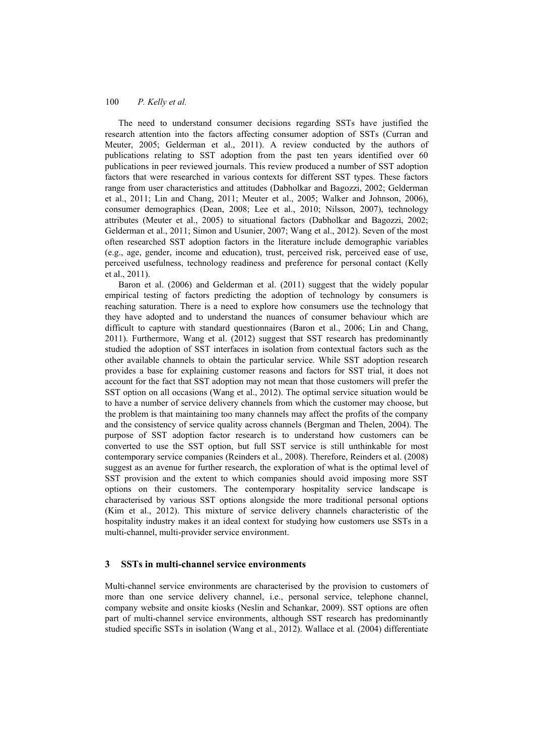The need to understand consumer decisions regarding SSTs have justified the research attention into the factors affecting consumer adoption of SSTs (Curran and Meuter, 2005; Gelderman et al., 2011). A review conducted by the authors of publications relating to SST adoption from the past ten years identified over 60 publications in peer reviewed journals. This review produced a number of SST adoption factors that were researched in various contexts for different SST types. These factors range from user characteristics and attitudes (Dabholkar and Bagozzi, 2002; Gelderman et al., 2011; Lin and Chang, 2011; Meuter et al., 2005; Walker and Johnson, 2006), consumer demographics (Dean, 2008; Lee et al., 2010; Nilsson, 2007), technology attributes (Meuter et al., 2005) to situational factors (Dabholkar and Bagozzi, 2002; Gelderman et al., 2011; Simon and Usunier, 2007; Wang et al., 2012). Seven of the most often researched SST adoption factors in the literature include demographic variables (e.g., age, gender, income and education), trust, perceived risk, perceived ease of use, perceived usefulness, technology readiness and preference for personal contact (Kelly et al., 2011).

Baron et al. (2006) and Gelderman et al. (2011) suggest that the widely popular empirical testing of factors predicting the adoption of technology by consumers is reaching saturation. There is a need to explore how consumers use the technology that they have adopted and to understand the nuances of consumer behaviour which are difficult to capture with standard questionnaires (Baron et al., 2006; Lin and Chang, 2011). Furthermore, Wang et al. (2012) suggest that SST research has predominantly studied the adoption of SST interfaces in isolation from contextual factors such as the other available channels to obtain the particular service. While SST adoption research provides a base for explaining customer reasons and factors for SST trial, it does not account for the fact that SST adoption may not mean that those customers will prefer the SST option on all occasions (Wang et al., 2012). The optimal service situation would be to have a number of service delivery channels from which the customer may choose, but the problem is that maintaining too many channels may affect the profits of the company and the consistency of service quality across channels (Bergman and Thelen, 2004). The purpose of SST adoption factor research is to understand how customers can be converted to use the SST option, but full SST service is still unthinkable for most contemporary service companies (Reinders et al., 2008). Therefore, Reinders et al. (2008) suggest as an avenue for further research, the exploration of what is the optimal level of SST provision and the extent to which companies should avoid imposing more SST options on their customers. The contemporary hospitality service landscape is characterised by various SST options alongside the more traditional personal options (Kim et al., 2012). This mixture of service delivery channels characteristic of the hospitality industry makes it an ideal context for studying how customers use SSTs in a multi-channel, multi-provider service environment.

#### **3 SSTs in multi-channel service environments**

Multi-channel service environments are characterised by the provision to customers of more than one service delivery channel, i.e., personal service, telephone channel, company website and onsite kiosks (Neslin and Schankar, 2009). SST options are often part of multi-channel service environments, although SST research has predominantly studied specific SSTs in isolation (Wang et al., 2012). Wallace et al. (2004) differentiate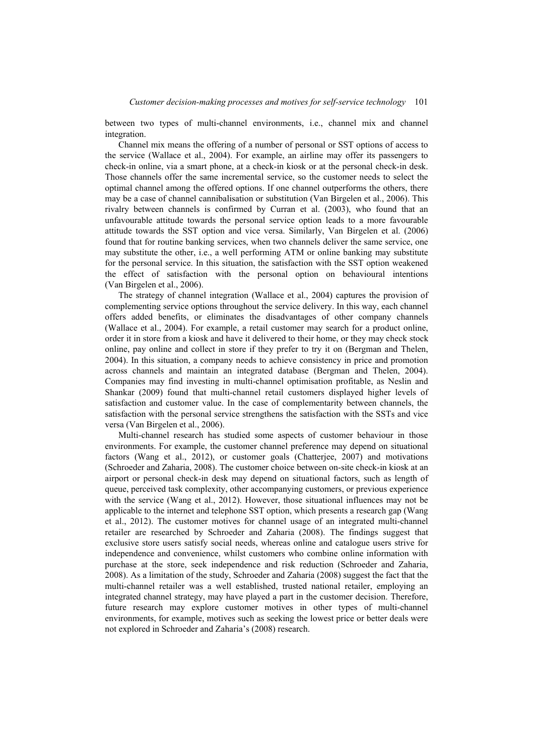between two types of multi-channel environments, i.e., channel mix and channel integration.

Channel mix means the offering of a number of personal or SST options of access to the service (Wallace et al., 2004). For example, an airline may offer its passengers to check-in online, via a smart phone, at a check-in kiosk or at the personal check-in desk. Those channels offer the same incremental service, so the customer needs to select the optimal channel among the offered options. If one channel outperforms the others, there may be a case of channel cannibalisation or substitution (Van Birgelen et al., 2006). This rivalry between channels is confirmed by Curran et al. (2003), who found that an unfavourable attitude towards the personal service option leads to a more favourable attitude towards the SST option and vice versa. Similarly, Van Birgelen et al. (2006) found that for routine banking services, when two channels deliver the same service, one may substitute the other, i.e., a well performing ATM or online banking may substitute for the personal service. In this situation, the satisfaction with the SST option weakened the effect of satisfaction with the personal option on behavioural intentions (Van Birgelen et al., 2006).

The strategy of channel integration (Wallace et al., 2004) captures the provision of complementing service options throughout the service delivery. In this way, each channel offers added benefits, or eliminates the disadvantages of other company channels (Wallace et al., 2004). For example, a retail customer may search for a product online, order it in store from a kiosk and have it delivered to their home, or they may check stock online, pay online and collect in store if they prefer to try it on (Bergman and Thelen, 2004). In this situation, a company needs to achieve consistency in price and promotion across channels and maintain an integrated database (Bergman and Thelen, 2004). Companies may find investing in multi-channel optimisation profitable, as Neslin and Shankar (2009) found that multi-channel retail customers displayed higher levels of satisfaction and customer value. In the case of complementarity between channels, the satisfaction with the personal service strengthens the satisfaction with the SSTs and vice versa (Van Birgelen et al., 2006).

Multi-channel research has studied some aspects of customer behaviour in those environments. For example, the customer channel preference may depend on situational factors (Wang et al., 2012), or customer goals (Chatterjee, 2007) and motivations (Schroeder and Zaharia, 2008). The customer choice between on-site check-in kiosk at an airport or personal check-in desk may depend on situational factors, such as length of queue, perceived task complexity, other accompanying customers, or previous experience with the service (Wang et al., 2012). However, those situational influences may not be applicable to the internet and telephone SST option, which presents a research gap (Wang et al., 2012). The customer motives for channel usage of an integrated multi-channel retailer are researched by Schroeder and Zaharia (2008). The findings suggest that exclusive store users satisfy social needs, whereas online and catalogue users strive for independence and convenience, whilst customers who combine online information with purchase at the store, seek independence and risk reduction (Schroeder and Zaharia, 2008). As a limitation of the study, Schroeder and Zaharia (2008) suggest the fact that the multi-channel retailer was a well established, trusted national retailer, employing an integrated channel strategy, may have played a part in the customer decision. Therefore, future research may explore customer motives in other types of multi-channel environments, for example, motives such as seeking the lowest price or better deals were not explored in Schroeder and Zaharia's (2008) research.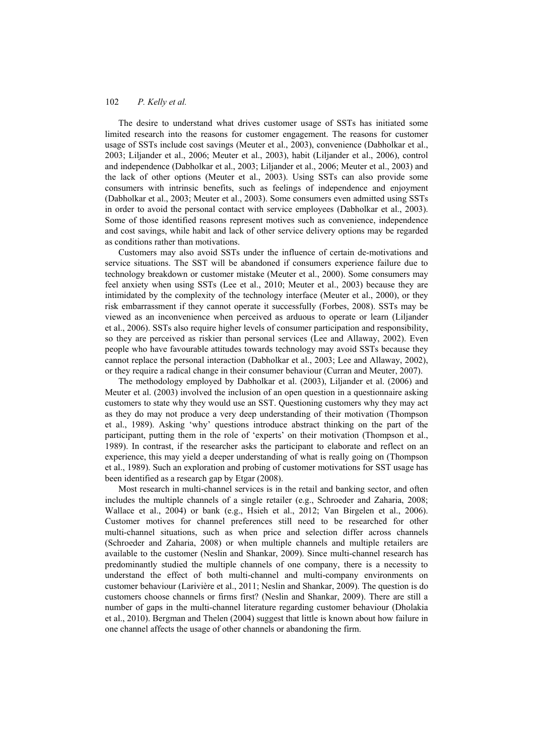The desire to understand what drives customer usage of SSTs has initiated some limited research into the reasons for customer engagement. The reasons for customer usage of SSTs include cost savings (Meuter et al., 2003), convenience (Dabholkar et al., 2003; Liljander et al., 2006; Meuter et al., 2003), habit (Liljander et al., 2006), control and independence (Dabholkar et al., 2003; Liljander et al., 2006; Meuter et al., 2003) and the lack of other options (Meuter et al., 2003). Using SSTs can also provide some consumers with intrinsic benefits, such as feelings of independence and enjoyment (Dabholkar et al., 2003; Meuter et al., 2003). Some consumers even admitted using SSTs in order to avoid the personal contact with service employees (Dabholkar et al., 2003). Some of those identified reasons represent motives such as convenience, independence and cost savings, while habit and lack of other service delivery options may be regarded as conditions rather than motivations.

Customers may also avoid SSTs under the influence of certain de-motivations and service situations. The SST will be abandoned if consumers experience failure due to technology breakdown or customer mistake (Meuter et al., 2000). Some consumers may feel anxiety when using SSTs (Lee et al., 2010; Meuter et al., 2003) because they are intimidated by the complexity of the technology interface (Meuter et al., 2000), or they risk embarrassment if they cannot operate it successfully (Forbes, 2008). SSTs may be viewed as an inconvenience when perceived as arduous to operate or learn (Liljander et al., 2006). SSTs also require higher levels of consumer participation and responsibility, so they are perceived as riskier than personal services (Lee and Allaway, 2002). Even people who have favourable attitudes towards technology may avoid SSTs because they cannot replace the personal interaction (Dabholkar et al., 2003; Lee and Allaway, 2002), or they require a radical change in their consumer behaviour (Curran and Meuter, 2007).

The methodology employed by Dabholkar et al. (2003), Liljander et al. (2006) and Meuter et al. (2003) involved the inclusion of an open question in a questionnaire asking customers to state why they would use an SST. Questioning customers why they may act as they do may not produce a very deep understanding of their motivation (Thompson et al., 1989). Asking 'why' questions introduce abstract thinking on the part of the participant, putting them in the role of 'experts' on their motivation (Thompson et al., 1989). In contrast, if the researcher asks the participant to elaborate and reflect on an experience, this may yield a deeper understanding of what is really going on (Thompson et al., 1989). Such an exploration and probing of customer motivations for SST usage has been identified as a research gap by Etgar (2008).

Most research in multi-channel services is in the retail and banking sector, and often includes the multiple channels of a single retailer (e.g., Schroeder and Zaharia, 2008; Wallace et al., 2004) or bank (e.g., Hsieh et al., 2012; Van Birgelen et al., 2006). Customer motives for channel preferences still need to be researched for other multi-channel situations, such as when price and selection differ across channels (Schroeder and Zaharia, 2008) or when multiple channels and multiple retailers are available to the customer (Neslin and Shankar, 2009). Since multi-channel research has predominantly studied the multiple channels of one company, there is a necessity to understand the effect of both multi-channel and multi-company environments on customer behaviour (Larivière et al., 2011; Neslin and Shankar, 2009). The question is do customers choose channels or firms first? (Neslin and Shankar, 2009). There are still a number of gaps in the multi-channel literature regarding customer behaviour (Dholakia et al., 2010). Bergman and Thelen (2004) suggest that little is known about how failure in one channel affects the usage of other channels or abandoning the firm.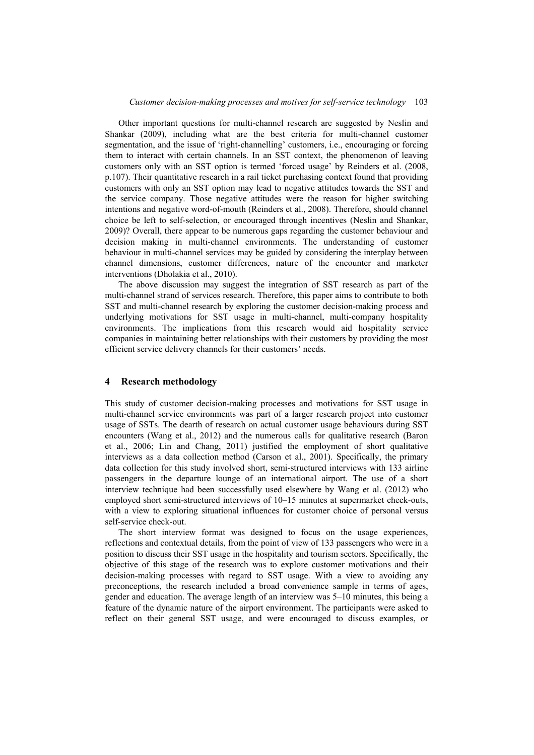Other important questions for multi-channel research are suggested by Neslin and Shankar (2009), including what are the best criteria for multi-channel customer segmentation, and the issue of 'right-channelling' customers, i.e., encouraging or forcing them to interact with certain channels. In an SST context, the phenomenon of leaving customers only with an SST option is termed 'forced usage' by Reinders et al. (2008, p.107). Their quantitative research in a rail ticket purchasing context found that providing customers with only an SST option may lead to negative attitudes towards the SST and the service company. Those negative attitudes were the reason for higher switching intentions and negative word-of-mouth (Reinders et al., 2008). Therefore, should channel choice be left to self-selection, or encouraged through incentives (Neslin and Shankar, 2009)? Overall, there appear to be numerous gaps regarding the customer behaviour and decision making in multi-channel environments. The understanding of customer behaviour in multi-channel services may be guided by considering the interplay between channel dimensions, customer differences, nature of the encounter and marketer interventions (Dholakia et al., 2010).

The above discussion may suggest the integration of SST research as part of the multi-channel strand of services research. Therefore, this paper aims to contribute to both SST and multi-channel research by exploring the customer decision-making process and underlying motivations for SST usage in multi-channel, multi-company hospitality environments. The implications from this research would aid hospitality service companies in maintaining better relationships with their customers by providing the most efficient service delivery channels for their customers' needs.

#### **4 Research methodology**

This study of customer decision-making processes and motivations for SST usage in multi-channel service environments was part of a larger research project into customer usage of SSTs. The dearth of research on actual customer usage behaviours during SST encounters (Wang et al., 2012) and the numerous calls for qualitative research (Baron et al., 2006; Lin and Chang, 2011) justified the employment of short qualitative interviews as a data collection method (Carson et al., 2001). Specifically, the primary data collection for this study involved short, semi-structured interviews with 133 airline passengers in the departure lounge of an international airport. The use of a short interview technique had been successfully used elsewhere by Wang et al. (2012) who employed short semi-structured interviews of 10–15 minutes at supermarket check-outs, with a view to exploring situational influences for customer choice of personal versus self-service check-out.

The short interview format was designed to focus on the usage experiences, reflections and contextual details, from the point of view of 133 passengers who were in a position to discuss their SST usage in the hospitality and tourism sectors. Specifically, the objective of this stage of the research was to explore customer motivations and their decision-making processes with regard to SST usage. With a view to avoiding any preconceptions, the research included a broad convenience sample in terms of ages, gender and education. The average length of an interview was 5–10 minutes, this being a feature of the dynamic nature of the airport environment. The participants were asked to reflect on their general SST usage, and were encouraged to discuss examples, or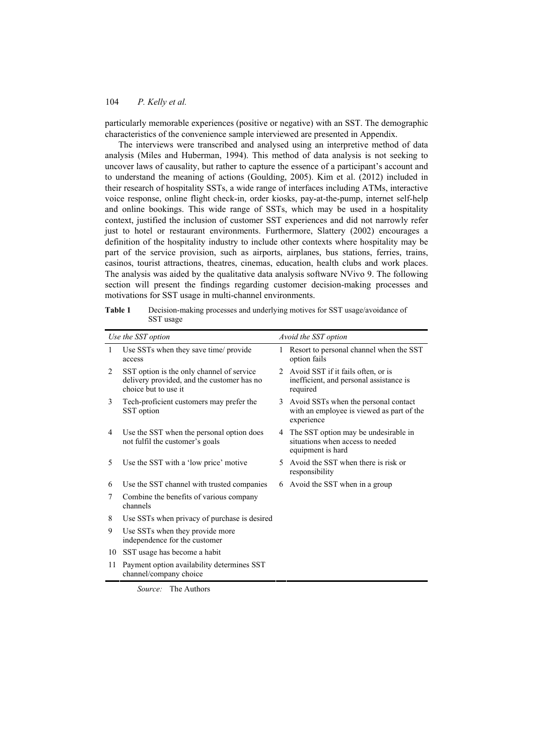particularly memorable experiences (positive or negative) with an SST. The demographic characteristics of the convenience sample interviewed are presented in Appendix.

The interviews were transcribed and analysed using an interpretive method of data analysis (Miles and Huberman, 1994). This method of data analysis is not seeking to uncover laws of causality, but rather to capture the essence of a participant's account and to understand the meaning of actions (Goulding, 2005). Kim et al. (2012) included in their research of hospitality SSTs, a wide range of interfaces including ATMs, interactive voice response, online flight check-in, order kiosks, pay-at-the-pump, internet self-help and online bookings. This wide range of SSTs, which may be used in a hospitality context, justified the inclusion of customer SST experiences and did not narrowly refer just to hotel or restaurant environments. Furthermore, Slattery (2002) encourages a definition of the hospitality industry to include other contexts where hospitality may be part of the service provision, such as airports, airplanes, bus stations, ferries, trains, casinos, tourist attractions, theatres, cinemas, education, health clubs and work places. The analysis was aided by the qualitative data analysis software NVivo 9. The following section will present the findings regarding customer decision-making processes and motivations for SST usage in multi-channel environments.

**Table 1** Decision-making processes and underlying motives for SST usage/avoidance of SST usage

| Use the SST option |                                                                                                                 |             | Avoid the SST option                                                                            |  |  |  |  |  |  |
|--------------------|-----------------------------------------------------------------------------------------------------------------|-------------|-------------------------------------------------------------------------------------------------|--|--|--|--|--|--|
| 1                  | Use SSTs when they save time/ provide<br>access                                                                 | 1           | Resort to personal channel when the SST<br>option fails                                         |  |  |  |  |  |  |
| 2                  | SST option is the only channel of service<br>delivery provided, and the customer has no<br>choice but to use it | $2^{\circ}$ | Avoid SST if it fails often, or is<br>inefficient, and personal assistance is<br>required       |  |  |  |  |  |  |
| 3                  | Tech-proficient customers may prefer the<br>SST option                                                          | 3           | Avoid SSTs when the personal contact<br>with an employee is viewed as part of the<br>experience |  |  |  |  |  |  |
| 4                  | Use the SST when the personal option does<br>not fulfil the customer's goals                                    | 4           | The SST option may be undesirable in<br>situations when access to needed<br>equipment is hard   |  |  |  |  |  |  |
| 5                  | Use the SST with a 'low price' motive                                                                           | 5.          | Avoid the SST when there is risk or<br>responsibility                                           |  |  |  |  |  |  |
| 6                  | Use the SST channel with trusted companies                                                                      | 6           | Avoid the SST when in a group                                                                   |  |  |  |  |  |  |
| 7                  | Combine the benefits of various company<br>channels                                                             |             |                                                                                                 |  |  |  |  |  |  |
| 8                  | Use SSTs when privacy of purchase is desired                                                                    |             |                                                                                                 |  |  |  |  |  |  |
| 9                  | Use SSTs when they provide more<br>independence for the customer                                                |             |                                                                                                 |  |  |  |  |  |  |
| 10                 | SST usage has become a habit                                                                                    |             |                                                                                                 |  |  |  |  |  |  |
| 11                 | Payment option availability determines SST<br>channel/company choice                                            |             |                                                                                                 |  |  |  |  |  |  |

*Source:* The Authors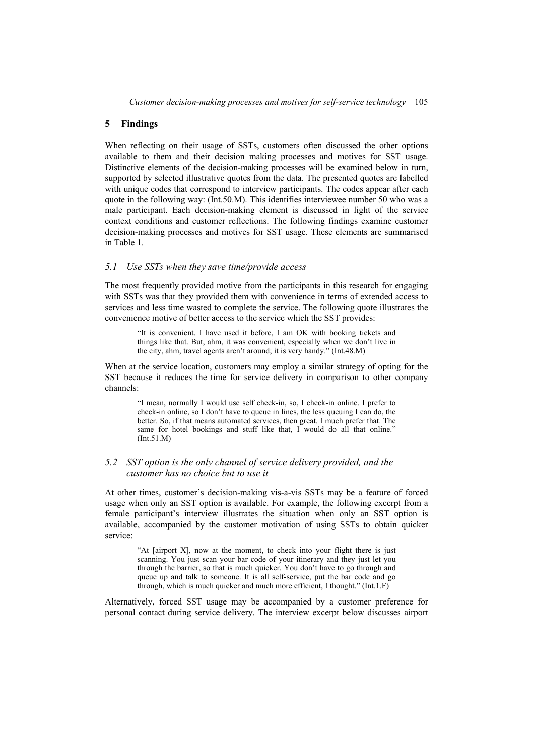#### **5 Findings**

When reflecting on their usage of SSTs, customers often discussed the other options available to them and their decision making processes and motives for SST usage. Distinctive elements of the decision-making processes will be examined below in turn, supported by selected illustrative quotes from the data. The presented quotes are labelled with unique codes that correspond to interview participants. The codes appear after each quote in the following way: (Int.50.M). This identifies interviewee number 50 who was a male participant. Each decision-making element is discussed in light of the service context conditions and customer reflections. The following findings examine customer decision-making processes and motives for SST usage. These elements are summarised in Table 1.

#### *5.1 Use SSTs when they save time/provide access*

The most frequently provided motive from the participants in this research for engaging with SSTs was that they provided them with convenience in terms of extended access to services and less time wasted to complete the service. The following quote illustrates the convenience motive of better access to the service which the SST provides:

"It is convenient. I have used it before, I am OK with booking tickets and things like that. But, ahm, it was convenient, especially when we don't live in the city, ahm, travel agents aren't around; it is very handy." (Int.48.M)

When at the service location, customers may employ a similar strategy of opting for the SST because it reduces the time for service delivery in comparison to other company channels:

"I mean, normally I would use self check-in, so, I check-in online. I prefer to check-in online, so I don't have to queue in lines, the less queuing I can do, the better. So, if that means automated services, then great. I much prefer that. The same for hotel bookings and stuff like that, I would do all that online." (Int.51.M)

#### *5.2 SST option is the only channel of service delivery provided, and the customer has no choice but to use it*

At other times, customer's decision-making vis-a-vis SSTs may be a feature of forced usage when only an SST option is available. For example, the following excerpt from a female participant's interview illustrates the situation when only an SST option is available, accompanied by the customer motivation of using SSTs to obtain quicker service:

> "At [airport X], now at the moment, to check into your flight there is just scanning. You just scan your bar code of your itinerary and they just let you through the barrier, so that is much quicker. You don't have to go through and queue up and talk to someone. It is all self-service, put the bar code and go through, which is much quicker and much more efficient, I thought." (Int.1.F)

Alternatively, forced SST usage may be accompanied by a customer preference for personal contact during service delivery. The interview excerpt below discusses airport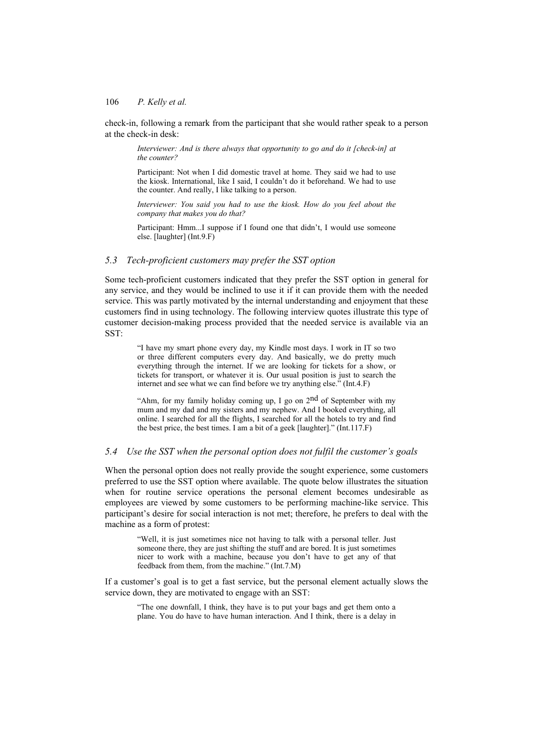check-in, following a remark from the participant that she would rather speak to a person at the check-in desk:

*Interviewer: And is there always that opportunity to go and do it [check-in] at the counter?* 

Participant: Not when I did domestic travel at home. They said we had to use the kiosk. International, like I said, I couldn't do it beforehand. We had to use the counter. And really, I like talking to a person.

*Interviewer: You said you had to use the kiosk. How do you feel about the company that makes you do that?* 

Participant: Hmm...I suppose if I found one that didn't, I would use someone else. [laughter] (Int.9.F)

#### *5.3 Tech-proficient customers may prefer the SST option*

Some tech-proficient customers indicated that they prefer the SST option in general for any service, and they would be inclined to use it if it can provide them with the needed service. This was partly motivated by the internal understanding and enjoyment that these customers find in using technology. The following interview quotes illustrate this type of customer decision-making process provided that the needed service is available via an SST:

"I have my smart phone every day, my Kindle most days. I work in IT so two or three different computers every day. And basically, we do pretty much everything through the internet. If we are looking for tickets for a show, or tickets for transport, or whatever it is. Our usual position is just to search the internet and see what we can find before we try anything else." (Int.4.F)

"Ahm, for my family holiday coming up, I go on  $2<sup>nd</sup>$  of September with my mum and my dad and my sisters and my nephew. And I booked everything, all online. I searched for all the flights, I searched for all the hotels to try and find the best price, the best times. I am a bit of a geek [laughter]." (Int.117.F)

#### *5.4 Use the SST when the personal option does not fulfil the customer's goals*

When the personal option does not really provide the sought experience, some customers preferred to use the SST option where available. The quote below illustrates the situation when for routine service operations the personal element becomes undesirable as employees are viewed by some customers to be performing machine-like service. This participant's desire for social interaction is not met; therefore, he prefers to deal with the machine as a form of protest:

> "Well, it is just sometimes nice not having to talk with a personal teller. Just someone there, they are just shifting the stuff and are bored. It is just sometimes nicer to work with a machine, because you don't have to get any of that feedback from them, from the machine." (Int.7.M)

If a customer's goal is to get a fast service, but the personal element actually slows the service down, they are motivated to engage with an SST:

"The one downfall, I think, they have is to put your bags and get them onto a plane. You do have to have human interaction. And I think, there is a delay in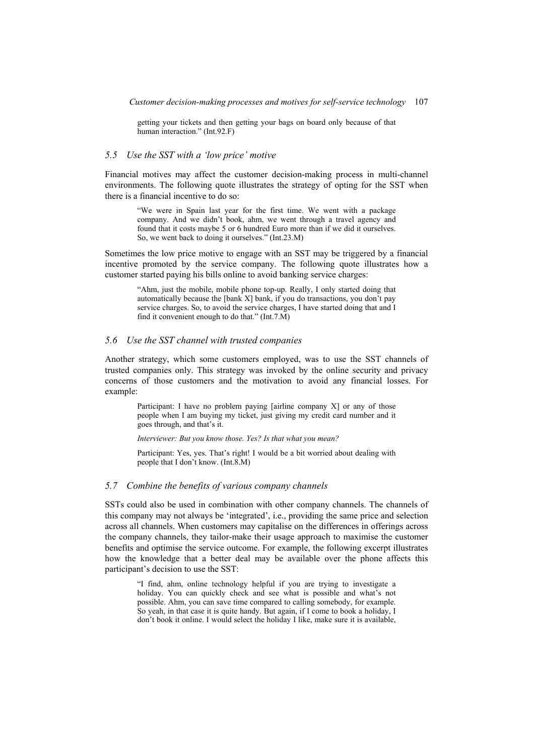getting your tickets and then getting your bags on board only because of that human interaction." (Int.92.F)

#### *5.5 Use the SST with a 'low price' motive*

Financial motives may affect the customer decision-making process in multi-channel environments. The following quote illustrates the strategy of opting for the SST when there is a financial incentive to do so:

"We were in Spain last year for the first time. We went with a package company. And we didn't book, ahm, we went through a travel agency and found that it costs maybe 5 or 6 hundred Euro more than if we did it ourselves. So, we went back to doing it ourselves." (Int.23.M)

Sometimes the low price motive to engage with an SST may be triggered by a financial incentive promoted by the service company. The following quote illustrates how a customer started paying his bills online to avoid banking service charges:

> "Ahm, just the mobile, mobile phone top-up. Really, I only started doing that automatically because the [bank  $X$ ] bank, if you do transactions, you don't pay service charges. So, to avoid the service charges, I have started doing that and I find it convenient enough to do that." (Int.7.M)

#### *5.6 Use the SST channel with trusted companies*

Another strategy, which some customers employed, was to use the SST channels of trusted companies only. This strategy was invoked by the online security and privacy concerns of those customers and the motivation to avoid any financial losses. For example:

Participant: I have no problem paying [airline company X] or any of those people when I am buying my ticket, just giving my credit card number and it goes through, and that's it.

*Interviewer: But you know those. Yes? Is that what you mean?* 

Participant: Yes, yes. That's right! I would be a bit worried about dealing with people that I don't know. (Int.8.M)

#### *5.7 Combine the benefits of various company channels*

SSTs could also be used in combination with other company channels. The channels of this company may not always be 'integrated', i.e., providing the same price and selection across all channels. When customers may capitalise on the differences in offerings across the company channels, they tailor-make their usage approach to maximise the customer benefits and optimise the service outcome. For example, the following excerpt illustrates how the knowledge that a better deal may be available over the phone affects this participant's decision to use the SST:

"I find, ahm, online technology helpful if you are trying to investigate a holiday. You can quickly check and see what is possible and what's not possible. Ahm, you can save time compared to calling somebody, for example. So yeah, in that case it is quite handy. But again, if I come to book a holiday, I don't book it online. I would select the holiday I like, make sure it is available,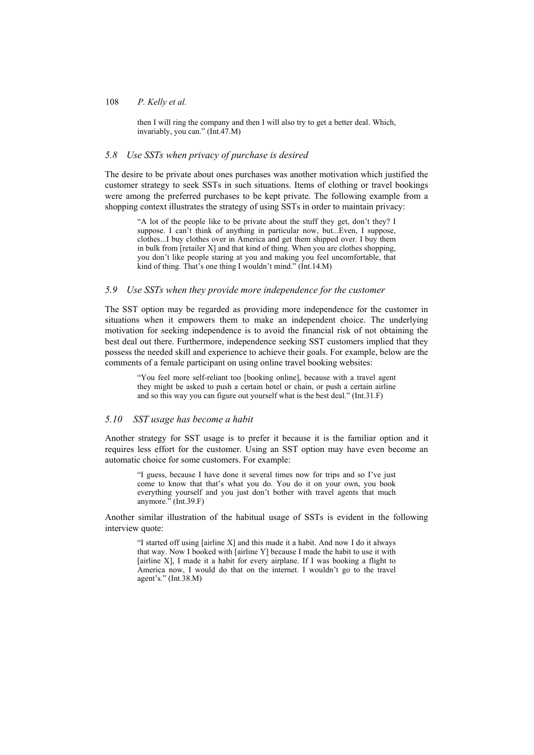then I will ring the company and then I will also try to get a better deal. Which, invariably, you can." (Int.47.M)

#### *5.8 Use SSTs when privacy of purchase is desired*

The desire to be private about ones purchases was another motivation which justified the customer strategy to seek SSTs in such situations. Items of clothing or travel bookings were among the preferred purchases to be kept private. The following example from a shopping context illustrates the strategy of using SSTs in order to maintain privacy:

> "A lot of the people like to be private about the stuff they get, don't they? I suppose. I can't think of anything in particular now, but...Even, I suppose, clothes...I buy clothes over in America and get them shipped over. I buy them in bulk from [retailer X] and that kind of thing. When you are clothes shopping, you don't like people staring at you and making you feel uncomfortable, that kind of thing. That's one thing I wouldn't mind." (Int.14.M)

#### *5.9 Use SSTs when they provide more independence for the customer*

The SST option may be regarded as providing more independence for the customer in situations when it empowers them to make an independent choice. The underlying motivation for seeking independence is to avoid the financial risk of not obtaining the best deal out there. Furthermore, independence seeking SST customers implied that they possess the needed skill and experience to achieve their goals. For example, below are the comments of a female participant on using online travel booking websites:

> "You feel more self-reliant too [booking online], because with a travel agent they might be asked to push a certain hotel or chain, or push a certain airline and so this way you can figure out yourself what is the best deal." (Int.31.F)

#### *5.10 SST usage has become a habit*

Another strategy for SST usage is to prefer it because it is the familiar option and it requires less effort for the customer. Using an SST option may have even become an automatic choice for some customers. For example:

"I guess, because I have done it several times now for trips and so I've just come to know that that's what you do. You do it on your own, you book everything yourself and you just don't bother with travel agents that much anymore." (Int.39.F)

Another similar illustration of the habitual usage of SSTs is evident in the following interview quote:

> "I started off using  $[airline X]$  and this made it a habit. And now I do it always that way. Now I booked with [airline Y] because I made the habit to use it with [airline X], I made it a habit for every airplane. If I was booking a flight to America now, I would do that on the internet. I wouldn't go to the travel agent's." (Int.38.M)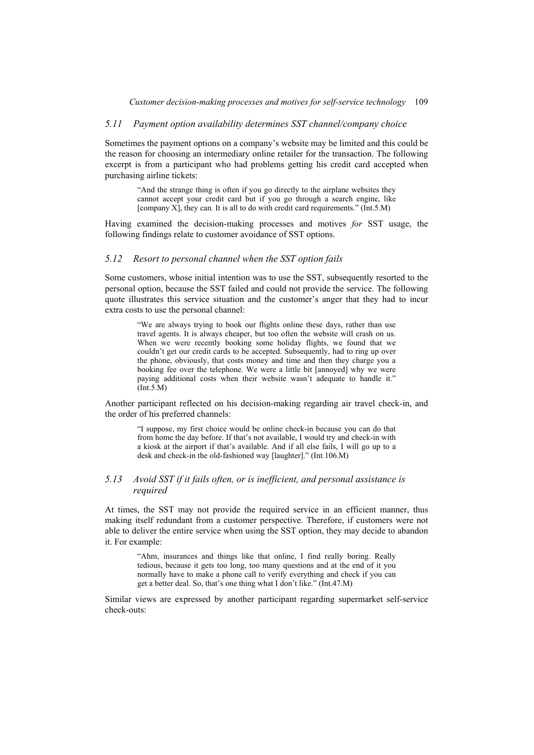#### *5.11 Payment option availability determines SST channel/company choice*

Sometimes the payment options on a company's website may be limited and this could be the reason for choosing an intermediary online retailer for the transaction. The following excerpt is from a participant who had problems getting his credit card accepted when purchasing airline tickets:

> "And the strange thing is often if you go directly to the airplane websites they cannot accept your credit card but if you go through a search engine, like [company X], they can. It is all to do with credit card requirements." (Int.5.M)

Having examined the decision-making processes and motives *for* SST usage, the following findings relate to customer avoidance of SST options.

#### *5.12 Resort to personal channel when the SST option fails*

Some customers, whose initial intention was to use the SST, subsequently resorted to the personal option, because the SST failed and could not provide the service. The following quote illustrates this service situation and the customer's anger that they had to incur extra costs to use the personal channel:

> "We are always trying to book our flights online these days, rather than use travel agents. It is always cheaper, but too often the website will crash on us. When we were recently booking some holiday flights, we found that we couldn't get our credit cards to be accepted. Subsequently, had to ring up over the phone, obviously, that costs money and time and then they charge you a booking fee over the telephone. We were a little bit [annoyed] why we were paying additional costs when their website wasn't adequate to handle it."  $(Int.5.M)$

Another participant reflected on his decision-making regarding air travel check-in, and the order of his preferred channels:

"I suppose, my first choice would be online check-in because you can do that from home the day before. If that's not available, I would try and check-in with a kiosk at the airport if that's available. And if all else fails, I will go up to a desk and check-in the old-fashioned way [laughter]." (Int.106.M)

#### *5.13 Avoid SST if it fails often, or is inefficient, and personal assistance is required*

At times, the SST may not provide the required service in an efficient manner, thus making itself redundant from a customer perspective. Therefore, if customers were not able to deliver the entire service when using the SST option, they may decide to abandon it. For example:

"Ahm, insurances and things like that online, I find really boring. Really tedious, because it gets too long, too many questions and at the end of it you normally have to make a phone call to verify everything and check if you can get a better deal. So, that's one thing what I don't like." (Int.47.M)

Similar views are expressed by another participant regarding supermarket self-service check-outs: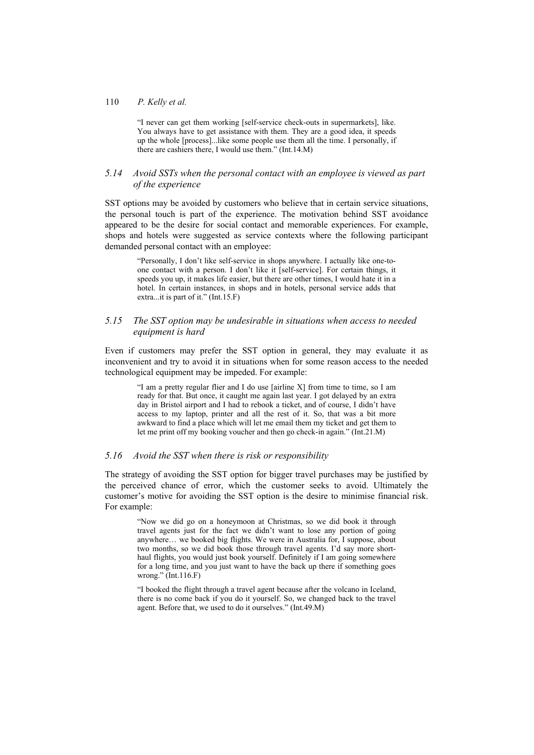"I never can get them working [self-service check-outs in supermarkets], like. You always have to get assistance with them. They are a good idea, it speeds up the whole [process]...like some people use them all the time. I personally, if there are cashiers there, I would use them." (Int.14.M)

#### *5.14 Avoid SSTs when the personal contact with an employee is viewed as part of the experience*

SST options may be avoided by customers who believe that in certain service situations, the personal touch is part of the experience. The motivation behind SST avoidance appeared to be the desire for social contact and memorable experiences. For example, shops and hotels were suggested as service contexts where the following participant demanded personal contact with an employee:

"Personally, I don't like self-service in shops anywhere. I actually like one-toone contact with a person. I don't like it [self-service]. For certain things, it speeds you up, it makes life easier, but there are other times, I would hate it in a hotel. In certain instances, in shops and in hotels, personal service adds that extra...it is part of it." (Int.15.F)

#### *5.15 The SST option may be undesirable in situations when access to needed equipment is hard*

Even if customers may prefer the SST option in general, they may evaluate it as inconvenient and try to avoid it in situations when for some reason access to the needed technological equipment may be impeded. For example:

"I am a pretty regular flier and I do use [airline X] from time to time, so I am ready for that. But once, it caught me again last year. I got delayed by an extra day in Bristol airport and I had to rebook a ticket, and of course, I didn't have access to my laptop, printer and all the rest of it. So, that was a bit more awkward to find a place which will let me email them my ticket and get them to let me print off my booking voucher and then go check-in again." (Int.21.M)

#### *5.16 Avoid the SST when there is risk or responsibility*

The strategy of avoiding the SST option for bigger travel purchases may be justified by the perceived chance of error, which the customer seeks to avoid. Ultimately the customer's motive for avoiding the SST option is the desire to minimise financial risk. For example:

> "Now we did go on a honeymoon at Christmas, so we did book it through travel agents just for the fact we didn't want to lose any portion of going anywhere… we booked big flights. We were in Australia for, I suppose, about two months, so we did book those through travel agents. I'd say more shorthaul flights, you would just book yourself. Definitely if I am going somewhere for a long time, and you just want to have the back up there if something goes wrong." (Int.116.F)

> "I booked the flight through a travel agent because after the volcano in Iceland, there is no come back if you do it yourself. So, we changed back to the travel agent. Before that, we used to do it ourselves." (Int.49.M)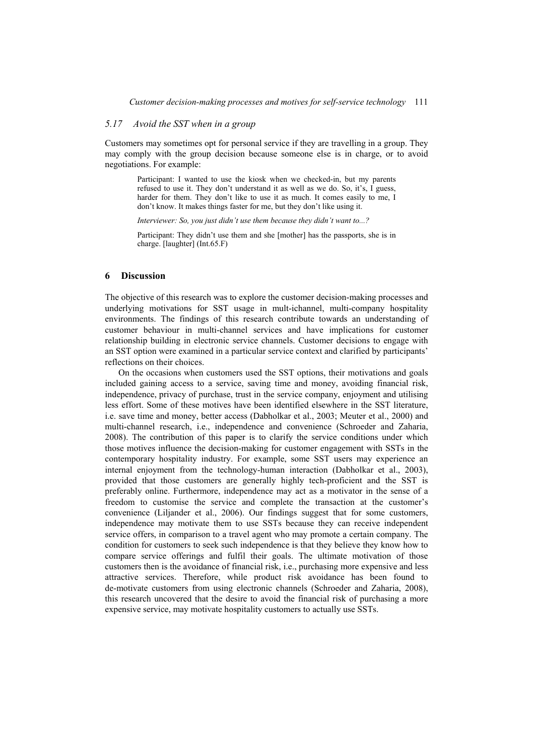#### *5.17 Avoid the SST when in a group*

Customers may sometimes opt for personal service if they are travelling in a group. They may comply with the group decision because someone else is in charge, or to avoid negotiations. For example:

Participant: I wanted to use the kiosk when we checked-in, but my parents refused to use it. They don't understand it as well as we do. So, it's, I guess, harder for them. They don't like to use it as much. It comes easily to me, I don't know. It makes things faster for me, but they don't like using it.

*Interviewer: So, you just didn't use them because they didn't want to...?* 

Participant: They didn't use them and she [mother] has the passports, she is in charge. [laughter] (Int.65.F)

#### **6 Discussion**

The objective of this research was to explore the customer decision-making processes and underlying motivations for SST usage in mult-ichannel, multi-company hospitality environments. The findings of this research contribute towards an understanding of customer behaviour in multi-channel services and have implications for customer relationship building in electronic service channels. Customer decisions to engage with an SST option were examined in a particular service context and clarified by participants' reflections on their choices.

On the occasions when customers used the SST options, their motivations and goals included gaining access to a service, saving time and money, avoiding financial risk, independence, privacy of purchase, trust in the service company, enjoyment and utilising less effort. Some of these motives have been identified elsewhere in the SST literature, i.e. save time and money, better access (Dabholkar et al., 2003; Meuter et al., 2000) and multi-channel research, i.e., independence and convenience (Schroeder and Zaharia, 2008). The contribution of this paper is to clarify the service conditions under which those motives influence the decision-making for customer engagement with SSTs in the contemporary hospitality industry. For example, some SST users may experience an internal enjoyment from the technology-human interaction (Dabholkar et al., 2003), provided that those customers are generally highly tech-proficient and the SST is preferably online. Furthermore, independence may act as a motivator in the sense of a freedom to customise the service and complete the transaction at the customer's convenience (Liljander et al., 2006). Our findings suggest that for some customers, independence may motivate them to use SSTs because they can receive independent service offers, in comparison to a travel agent who may promote a certain company. The condition for customers to seek such independence is that they believe they know how to compare service offerings and fulfil their goals. The ultimate motivation of those customers then is the avoidance of financial risk, i.e., purchasing more expensive and less attractive services. Therefore, while product risk avoidance has been found to de-motivate customers from using electronic channels (Schroeder and Zaharia, 2008), this research uncovered that the desire to avoid the financial risk of purchasing a more expensive service, may motivate hospitality customers to actually use SSTs.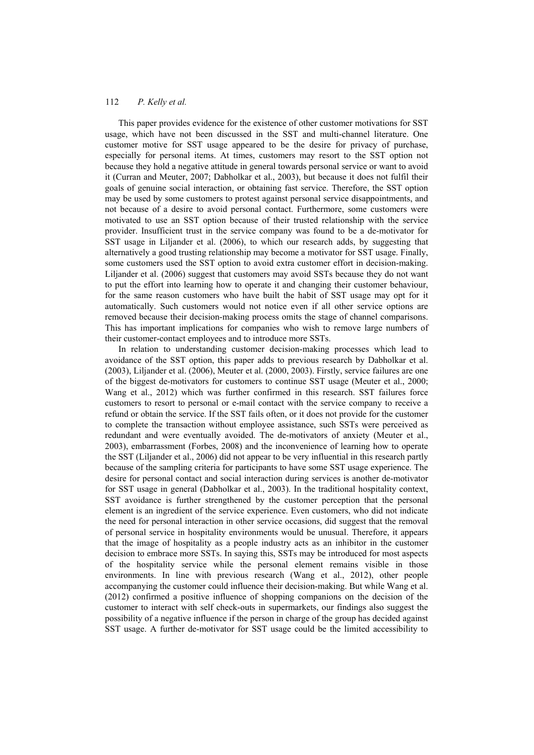This paper provides evidence for the existence of other customer motivations for SST usage, which have not been discussed in the SST and multi-channel literature. One customer motive for SST usage appeared to be the desire for privacy of purchase, especially for personal items. At times, customers may resort to the SST option not because they hold a negative attitude in general towards personal service or want to avoid it (Curran and Meuter, 2007; Dabholkar et al., 2003), but because it does not fulfil their goals of genuine social interaction, or obtaining fast service. Therefore, the SST option may be used by some customers to protest against personal service disappointments, and not because of a desire to avoid personal contact. Furthermore, some customers were motivated to use an SST option because of their trusted relationship with the service provider. Insufficient trust in the service company was found to be a de-motivator for SST usage in Liljander et al. (2006), to which our research adds, by suggesting that alternatively a good trusting relationship may become a motivator for SST usage. Finally, some customers used the SST option to avoid extra customer effort in decision-making. Liljander et al. (2006) suggest that customers may avoid SSTs because they do not want to put the effort into learning how to operate it and changing their customer behaviour, for the same reason customers who have built the habit of SST usage may opt for it automatically. Such customers would not notice even if all other service options are removed because their decision-making process omits the stage of channel comparisons. This has important implications for companies who wish to remove large numbers of their customer-contact employees and to introduce more SSTs.

In relation to understanding customer decision-making processes which lead to avoidance of the SST option, this paper adds to previous research by Dabholkar et al. (2003), Liljander et al. (2006), Meuter et al. (2000, 2003). Firstly, service failures are one of the biggest de-motivators for customers to continue SST usage (Meuter et al., 2000; Wang et al., 2012) which was further confirmed in this research. SST failures force customers to resort to personal or e-mail contact with the service company to receive a refund or obtain the service. If the SST fails often, or it does not provide for the customer to complete the transaction without employee assistance, such SSTs were perceived as redundant and were eventually avoided. The de-motivators of anxiety (Meuter et al., 2003), embarrassment (Forbes, 2008) and the inconvenience of learning how to operate the SST (Liljander et al., 2006) did not appear to be very influential in this research partly because of the sampling criteria for participants to have some SST usage experience. The desire for personal contact and social interaction during services is another de-motivator for SST usage in general (Dabholkar et al., 2003). In the traditional hospitality context, SST avoidance is further strengthened by the customer perception that the personal element is an ingredient of the service experience. Even customers, who did not indicate the need for personal interaction in other service occasions, did suggest that the removal of personal service in hospitality environments would be unusual. Therefore, it appears that the image of hospitality as a people industry acts as an inhibitor in the customer decision to embrace more SSTs. In saying this, SSTs may be introduced for most aspects of the hospitality service while the personal element remains visible in those environments. In line with previous research (Wang et al., 2012), other people accompanying the customer could influence their decision-making. But while Wang et al. (2012) confirmed a positive influence of shopping companions on the decision of the customer to interact with self check-outs in supermarkets, our findings also suggest the possibility of a negative influence if the person in charge of the group has decided against SST usage. A further de-motivator for SST usage could be the limited accessibility to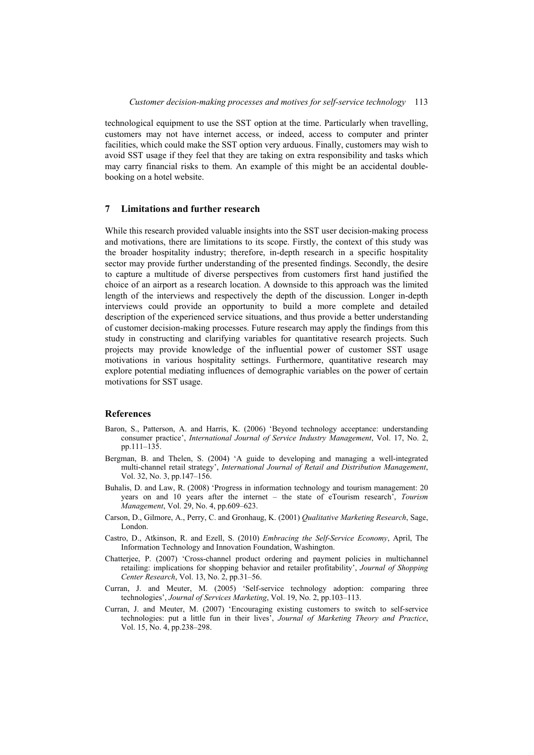technological equipment to use the SST option at the time. Particularly when travelling, customers may not have internet access, or indeed, access to computer and printer facilities, which could make the SST option very arduous. Finally, customers may wish to avoid SST usage if they feel that they are taking on extra responsibility and tasks which may carry financial risks to them. An example of this might be an accidental doublebooking on a hotel website.

#### **7 Limitations and further research**

While this research provided valuable insights into the SST user decision-making process and motivations, there are limitations to its scope. Firstly, the context of this study was the broader hospitality industry; therefore, in-depth research in a specific hospitality sector may provide further understanding of the presented findings. Secondly, the desire to capture a multitude of diverse perspectives from customers first hand justified the choice of an airport as a research location. A downside to this approach was the limited length of the interviews and respectively the depth of the discussion. Longer in-depth interviews could provide an opportunity to build a more complete and detailed description of the experienced service situations, and thus provide a better understanding of customer decision-making processes. Future research may apply the findings from this study in constructing and clarifying variables for quantitative research projects. Such projects may provide knowledge of the influential power of customer SST usage motivations in various hospitality settings. Furthermore, quantitative research may explore potential mediating influences of demographic variables on the power of certain motivations for SST usage.

#### **References**

- Baron, S., Patterson, A. and Harris, K. (2006) 'Beyond technology acceptance: understanding consumer practice', *International Journal of Service Industry Management*, Vol. 17, No. 2, pp.111–135.
- Bergman, B. and Thelen, S. (2004) 'A guide to developing and managing a well-integrated multi-channel retail strategy', *International Journal of Retail and Distribution Management*, Vol. 32, No. 3, pp.147–156.
- Buhalis, D. and Law, R. (2008) 'Progress in information technology and tourism management: 20 years on and 10 years after the internet – the state of eTourism research', *Tourism Management*, Vol. 29, No. 4, pp.609–623.
- Carson, D., Gilmore, A., Perry, C. and Gronhaug, K. (2001) *Qualitative Marketing Research*, Sage, London.
- Castro, D., Atkinson, R. and Ezell, S. (2010) *Embracing the Self-Service Economy*, April, The Information Technology and Innovation Foundation, Washington.
- Chatterjee, P. (2007) 'Cross-channel product ordering and payment policies in multichannel retailing: implications for shopping behavior and retailer profitability', *Journal of Shopping Center Research*, Vol. 13, No. 2, pp.31–56.
- Curran, J. and Meuter, M. (2005) 'Self-service technology adoption: comparing three technologies', *Journal of Services Marketing*, Vol. 19, No. 2, pp.103–113.
- Curran, J. and Meuter, M. (2007) 'Encouraging existing customers to switch to self-service technologies: put a little fun in their lives', *Journal of Marketing Theory and Practice*, Vol. 15, No. 4, pp.238–298.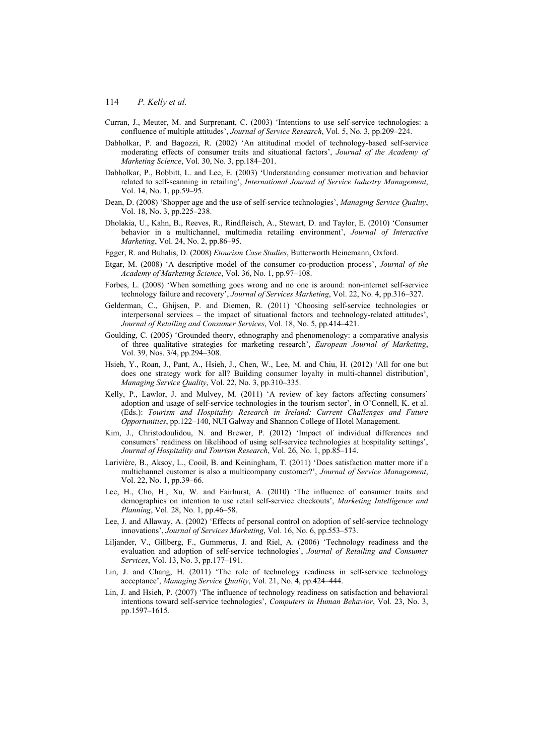- Curran, J., Meuter, M. and Surprenant, C. (2003) 'Intentions to use self-service technologies: a confluence of multiple attitudes', *Journal of Service Research*, Vol. 5, No. 3, pp.209–224.
- Dabholkar, P. and Bagozzi, R. (2002) 'An attitudinal model of technology-based self-service moderating effects of consumer traits and situational factors', *Journal of the Academy of Marketing Science*, Vol. 30, No. 3, pp.184–201.
- Dabholkar, P., Bobbitt, L. and Lee, E. (2003) 'Understanding consumer motivation and behavior related to self-scanning in retailing', *International Journal of Service Industry Management*, Vol. 14, No. 1, pp.59–95.
- Dean, D. (2008) 'Shopper age and the use of self-service technologies', *Managing Service Quality*, Vol. 18, No. 3, pp.225–238.
- Dholakia, U., Kahn, B., Reeves, R., Rindfleisch, A., Stewart, D. and Taylor, E. (2010) 'Consumer behavior in a multichannel, multimedia retailing environment', *Journal of Interactive Marketing*, Vol. 24, No. 2, pp.86–95.
- Egger, R. and Buhalis, D. (2008) *Etourism Case Studies*, Butterworth Heinemann, Oxford.
- Etgar, M. (2008) 'A descriptive model of the consumer co-production process', *Journal of the Academy of Marketing Science*, Vol. 36, No. 1, pp.97–108.
- Forbes, L. (2008) 'When something goes wrong and no one is around: non-internet self-service technology failure and recovery', *Journal of Services Marketing*, Vol. 22, No. 4, pp.316–327.
- Gelderman, C., Ghijsen, P. and Diemen, R. (2011) 'Choosing self-service technologies or interpersonal services – the impact of situational factors and technology-related attitudes', *Journal of Retailing and Consumer Services*, Vol. 18, No. 5, pp.414–421.
- Goulding, C. (2005) 'Grounded theory, ethnography and phenomenology: a comparative analysis of three qualitative strategies for marketing research', *European Journal of Marketing*, Vol. 39, Nos. 3/4, pp.294–308.
- Hsieh, Y., Roan, J., Pant, A., Hsieh, J., Chen, W., Lee, M. and Chiu, H. (2012) 'All for one but does one strategy work for all? Building consumer loyalty in multi-channel distribution', *Managing Service Quality*, Vol. 22, No. 3, pp.310–335.
- Kelly, P., Lawlor, J. and Mulvey, M. (2011) 'A review of key factors affecting consumers' adoption and usage of self-service technologies in the tourism sector', in O'Connell, K. et al. (Eds.): *Tourism and Hospitality Research in Ireland: Current Challenges and Future Opportunities*, pp.122–140, NUI Galway and Shannon College of Hotel Management.
- Kim, J., Christodoulidou, N. and Brewer, P. (2012) 'Impact of individual differences and consumers' readiness on likelihood of using self-service technologies at hospitality settings', *Journal of Hospitality and Tourism Research*, Vol. 26, No. 1, pp.85–114.
- Larivière, B., Aksoy, L., Cooil, B. and Keiningham, T. (2011) 'Does satisfaction matter more if a multichannel customer is also a multicompany customer?', *Journal of Service Management*, Vol. 22, No. 1, pp.39–66.
- Lee, H., Cho, H., Xu, W. and Fairhurst, A. (2010) 'The influence of consumer traits and demographics on intention to use retail self-service checkouts', *Marketing Intelligence and Planning*, Vol. 28, No. 1, pp.46–58.
- Lee, J. and Allaway, A. (2002) 'Effects of personal control on adoption of self-service technology innovations', *Journal of Services Marketing*, Vol. 16, No. 6, pp.553–573.
- Liljander, V., Gillberg, F., Gummerus, J. and Riel, A. (2006) 'Technology readiness and the evaluation and adoption of self-service technologies', *Journal of Retailing and Consumer Services*, Vol. 13, No. 3, pp.177–191.
- Lin, J. and Chang, H. (2011) 'The role of technology readiness in self-service technology acceptance', *Managing Service Quality*, Vol. 21, No. 4, pp.424–444.
- Lin, J. and Hsieh, P. (2007) 'The influence of technology readiness on satisfaction and behavioral intentions toward self-service technologies', *Computers in Human Behavior*, Vol. 23, No. 3, pp.1597–1615.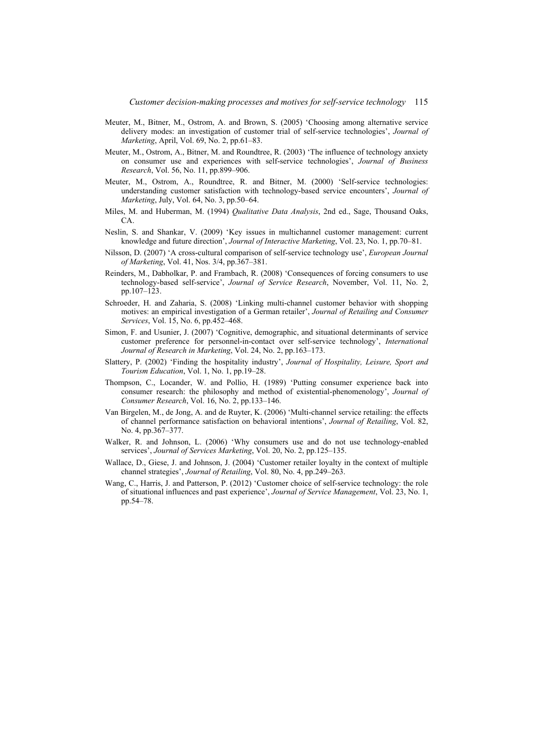- Meuter, M., Bitner, M., Ostrom, A. and Brown, S. (2005) 'Choosing among alternative service delivery modes: an investigation of customer trial of self-service technologies', *Journal of Marketing*, April, Vol. 69, No. 2, pp.61–83.
- Meuter, M., Ostrom, A., Bitner, M. and Roundtree, R. (2003) 'The influence of technology anxiety on consumer use and experiences with self-service technologies', *Journal of Business Research*, Vol. 56, No. 11, pp.899–906.
- Meuter, M., Ostrom, A., Roundtree, R. and Bitner, M. (2000) 'Self-service technologies: understanding customer satisfaction with technology-based service encounters', *Journal of Marketing*, July, Vol. 64, No. 3, pp.50–64.
- Miles, M. and Huberman, M. (1994) *Qualitative Data Analysis*, 2nd ed., Sage, Thousand Oaks, CA.
- Neslin, S. and Shankar, V. (2009) 'Key issues in multichannel customer management: current knowledge and future direction', *Journal of Interactive Marketing*, Vol. 23, No. 1, pp.70–81.
- Nilsson, D. (2007) 'A cross-cultural comparison of self-service technology use', *European Journal of Marketing*, Vol. 41, Nos. 3/4, pp.367–381.
- Reinders, M., Dabholkar, P. and Frambach, R. (2008) 'Consequences of forcing consumers to use technology-based self-service', *Journal of Service Research*, November, Vol. 11, No. 2, pp.107–123.
- Schroeder, H. and Zaharia, S. (2008) 'Linking multi-channel customer behavior with shopping motives: an empirical investigation of a German retailer', *Journal of Retailing and Consumer Services*, Vol. 15, No. 6, pp.452–468.
- Simon, F. and Usunier, J. (2007) 'Cognitive, demographic, and situational determinants of service customer preference for personnel-in-contact over self-service technology', *International Journal of Research in Marketing*, Vol. 24, No. 2, pp.163–173.
- Slattery, P. (2002) 'Finding the hospitality industry', *Journal of Hospitality, Leisure, Sport and Tourism Education*, Vol. 1, No. 1, pp.19–28.
- Thompson, C., Locander, W. and Pollio, H. (1989) 'Putting consumer experience back into consumer research: the philosophy and method of existential-phenomenology', *Journal of Consumer Research*, Vol. 16, No. 2, pp.133–146.
- Van Birgelen, M., de Jong, A. and de Ruyter, K. (2006) 'Multi-channel service retailing: the effects of channel performance satisfaction on behavioral intentions', *Journal of Retailing*, Vol. 82, No. 4, pp.367–377.
- Walker, R. and Johnson, L. (2006) 'Why consumers use and do not use technology-enabled services', *Journal of Services Marketing*, Vol. 20, No. 2, pp.125–135.
- Wallace, D., Giese, J. and Johnson, J. (2004) 'Customer retailer loyalty in the context of multiple channel strategies', *Journal of Retailing*, Vol. 80, No. 4, pp.249–263.
- Wang, C., Harris, J. and Patterson, P. (2012) 'Customer choice of self-service technology: the role of situational influences and past experience', *Journal of Service Management*, Vol. 23, No. 1, pp.54–78.